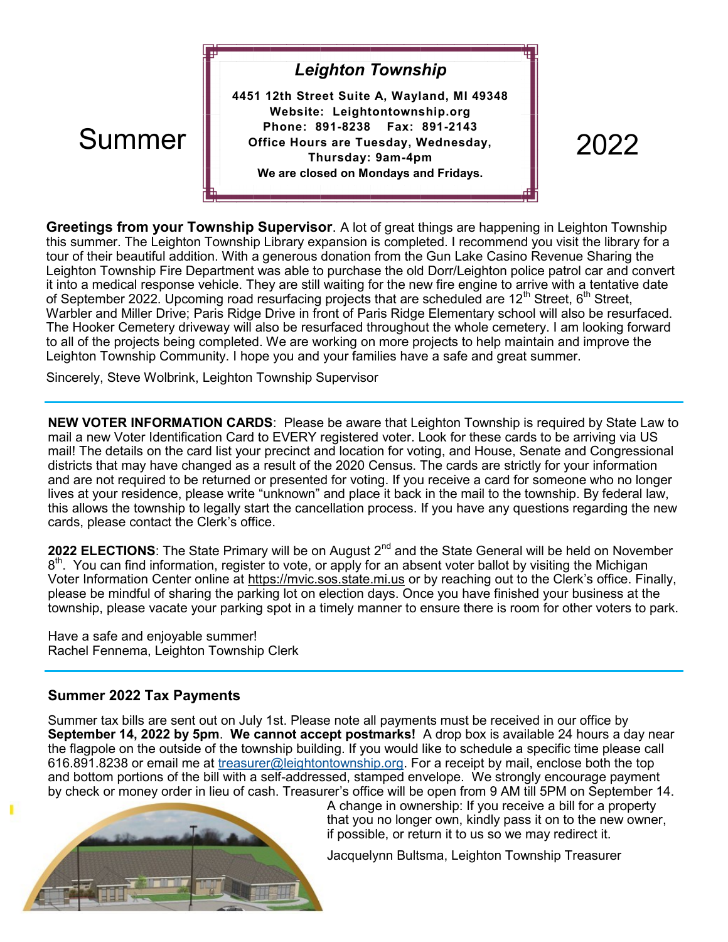# *Leighton Township*

**4451 12th Street Suite A, Wayland, MI 49348 Website: Leightontownship.org Phone: 891-8238 Fax: 891-2143 Office Hours are Tuesday, Wednesday, Thursday: 9am-4pm We are closed on Mondays and Fridays.**   $\text{Summer}$  and  $\text{P}_\text{noise}$  and  $\text{P}_\text{noise}$  and  $\text{P}_\text{noise}$  are  $\text{T}_\text{noise}$  and  $\text{D}_\text{noise}$  and  $\text{D}_\text{noise}$  and  $\text{D}_\text{noise}$  and  $\text{D}_\text{noise}$  and  $\text{D}_\text{noise}$  and  $\text{D}_\text{noise}$  and  $\text{D}_\text{noise}$  and  $\text{D}_\text{noise}$  and  $\text{$ 

**Greetings from your Township Supervisor**. A lot of great things are happening in Leighton Township this summer. The Leighton Township Library expansion is completed. I recommend you visit the library for a tour of their beautiful addition. With a generous donation from the Gun Lake Casino Revenue Sharing the Leighton Township Fire Department was able to purchase the old Dorr/Leighton police patrol car and convert it into a medical response vehicle. They are still waiting for the new fire engine to arrive with a tentative date of September 2022. Upcoming road resurfacing projects that are scheduled are 12<sup>th</sup> Street, 6<sup>th</sup> Street, Warbler and Miller Drive; Paris Ridge Drive in front of Paris Ridge Elementary school will also be resurfaced. The Hooker Cemetery driveway will also be resurfaced throughout the whole cemetery. I am looking forward to all of the projects being completed. We are working on more projects to help maintain and improve the Leighton Township Community. I hope you and your families have a safe and great summer.

Sincerely, Steve Wolbrink, Leighton Township Supervisor

**NEW VOTER INFORMATION CARDS**: Please be aware that Leighton Township is required by State Law to mail a new Voter Identification Card to EVERY registered voter. Look for these cards to be arriving via US mail! The details on the card list your precinct and location for voting, and House, Senate and Congressional districts that may have changed as a result of the 2020 Census. The cards are strictly for your information and are not required to be returned or presented for voting. If you receive a card for someone who no longer lives at your residence, please write "unknown" and place it back in the mail to the township. By federal law, this allows the township to legally start the cancellation process. If you have any questions regarding the new cards, please contact the Clerk's office.

2022 ELECTIONS: The State Primary will be on August 2<sup>nd</sup> and the State General will be held on November 8<sup>th</sup>. You can find information, register to vote, or apply for an absent voter ballot by visiting the Michigan Voter Information Center online at https://mvic.sos.state.mi.us or by reaching out to the Clerk's office. Finally, please be mindful of sharing the parking lot on election days. Once you have finished your business at the township, please vacate your parking spot in a timely manner to ensure there is room for other voters to park.

Have a safe and enjoyable summer! Rachel Fennema, Leighton Township Clerk

## **Summer 2022 Tax Payments**

Summer tax bills are sent out on July 1st. Please note all payments must be received in our office by **September 14, 2022 by 5pm**. **We cannot accept postmarks!** A drop box is available 24 hours a day near the flagpole on the outside of the township building. If you would like to schedule a specific time please call 616.891.8238 or email me at [treasurer@leightontownship.org.](mailto:treasurer@leightontownship.org) For a receipt by mail, enclose both the top and bottom portions of the bill with a self-addressed, stamped envelope. We strongly encourage payment by check or money order in lieu of cash. Treasurer's office will be open from 9 AM till 5PM on September 14.



A change in ownership: If you receive a bill for a property that you no longer own, kindly pass it on to the new owner, if possible, or return it to us so we may redirect it.

Jacquelynn Bultsma, Leighton Township Treasurer